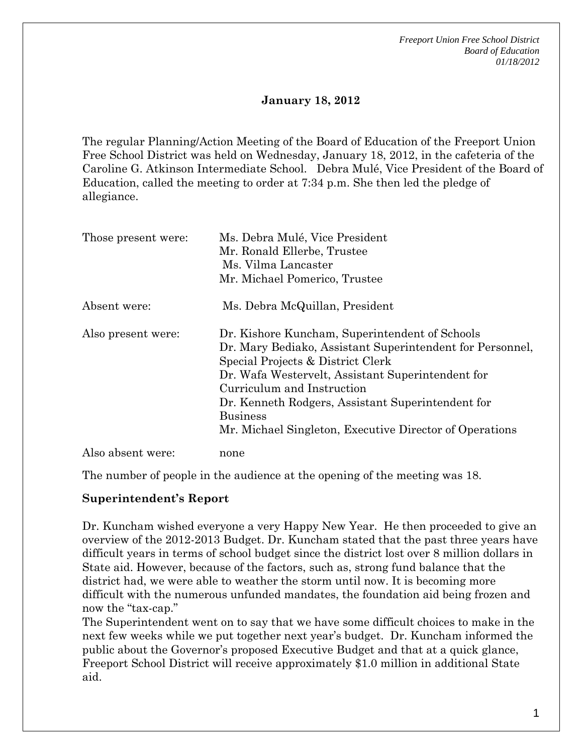*Freeport Union Free School District Board of Education 01/18/2012* 

# **January 18, 2012**

The regular Planning/Action Meeting of the Board of Education of the Freeport Union Free School District was held on Wednesday, January 18, 2012, in the cafeteria of the Caroline G. Atkinson Intermediate School. Debra Mulé, Vice President of the Board of Education, called the meeting to order at 7:34 p.m. She then led the pledge of allegiance.

| Those present were: | Ms. Debra Mulé, Vice President<br>Mr. Ronald Ellerbe, Trustee<br>Ms. Vilma Lancaster<br>Mr. Michael Pomerico, Trustee                                                                                                                                                                                                                                                  |
|---------------------|------------------------------------------------------------------------------------------------------------------------------------------------------------------------------------------------------------------------------------------------------------------------------------------------------------------------------------------------------------------------|
| Absent were:        | Ms. Debra McQuillan, President                                                                                                                                                                                                                                                                                                                                         |
| Also present were:  | Dr. Kishore Kuncham, Superintendent of Schools<br>Dr. Mary Bediako, Assistant Superintendent for Personnel,<br>Special Projects & District Clerk<br>Dr. Wafa Westervelt, Assistant Superintendent for<br>Curriculum and Instruction<br>Dr. Kenneth Rodgers, Assistant Superintendent for<br><b>Business</b><br>Mr. Michael Singleton, Executive Director of Operations |
| Also absent were:   | none                                                                                                                                                                                                                                                                                                                                                                   |

The number of people in the audience at the opening of the meeting was 18.

### **Superintendent's Report**

Dr. Kuncham wished everyone a very Happy New Year. He then proceeded to give an overview of the 2012-2013 Budget. Dr. Kuncham stated that the past three years have difficult years in terms of school budget since the district lost over 8 million dollars in State aid. However, because of the factors, such as, strong fund balance that the district had, we were able to weather the storm until now. It is becoming more difficult with the numerous unfunded mandates, the foundation aid being frozen and now the "tax-cap."

The Superintendent went on to say that we have some difficult choices to make in the next few weeks while we put together next year's budget. Dr. Kuncham informed the public about the Governor's proposed Executive Budget and that at a quick glance, Freeport School District will receive approximately \$1.0 million in additional State aid.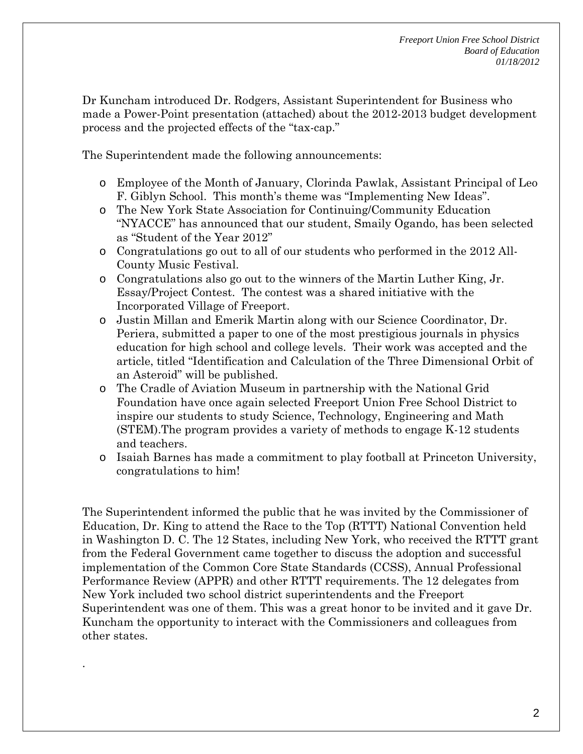Dr Kuncham introduced Dr. Rodgers, Assistant Superintendent for Business who made a Power-Point presentation (attached) about the 2012-2013 budget development process and the projected effects of the "tax-cap."

The Superintendent made the following announcements:

- o Employee of the Month of January, Clorinda Pawlak, Assistant Principal of Leo F. Giblyn School. This month's theme was "Implementing New Ideas".
- o The New York State Association for Continuing/Community Education "NYACCE" has announced that our student, Smaily Ogando, has been selected as "Student of the Year 2012"
- o Congratulations go out to all of our students who performed in the 2012 All-County Music Festival.
- o Congratulations also go out to the winners of the Martin Luther King, Jr. Essay/Project Contest. The contest was a shared initiative with the Incorporated Village of Freeport.
- o Justin Millan and Emerik Martin along with our Science Coordinator, Dr. Periera, submitted a paper to one of the most prestigious journals in physics education for high school and college levels. Their work was accepted and the article, titled "Identification and Calculation of the Three Dimensional Orbit of an Asteroid" will be published.
- o The Cradle of Aviation Museum in partnership with the National Grid Foundation have once again selected Freeport Union Free School District to inspire our students to study Science, Technology, Engineering and Math (STEM).The program provides a variety of methods to engage K-12 students and teachers.
- o Isaiah Barnes has made a commitment to play football at Princeton University, congratulations to him!

The Superintendent informed the public that he was invited by the Commissioner of Education, Dr. King to attend the Race to the Top (RTTT) National Convention held in Washington D. C. The 12 States, including New York, who received the RTTT grant from the Federal Government came together to discuss the adoption and successful implementation of the Common Core State Standards (CCSS), Annual Professional Performance Review (APPR) and other RTTT requirements. The 12 delegates from New York included two school district superintendents and the Freeport Superintendent was one of them. This was a great honor to be invited and it gave Dr. Kuncham the opportunity to interact with the Commissioners and colleagues from other states.

.